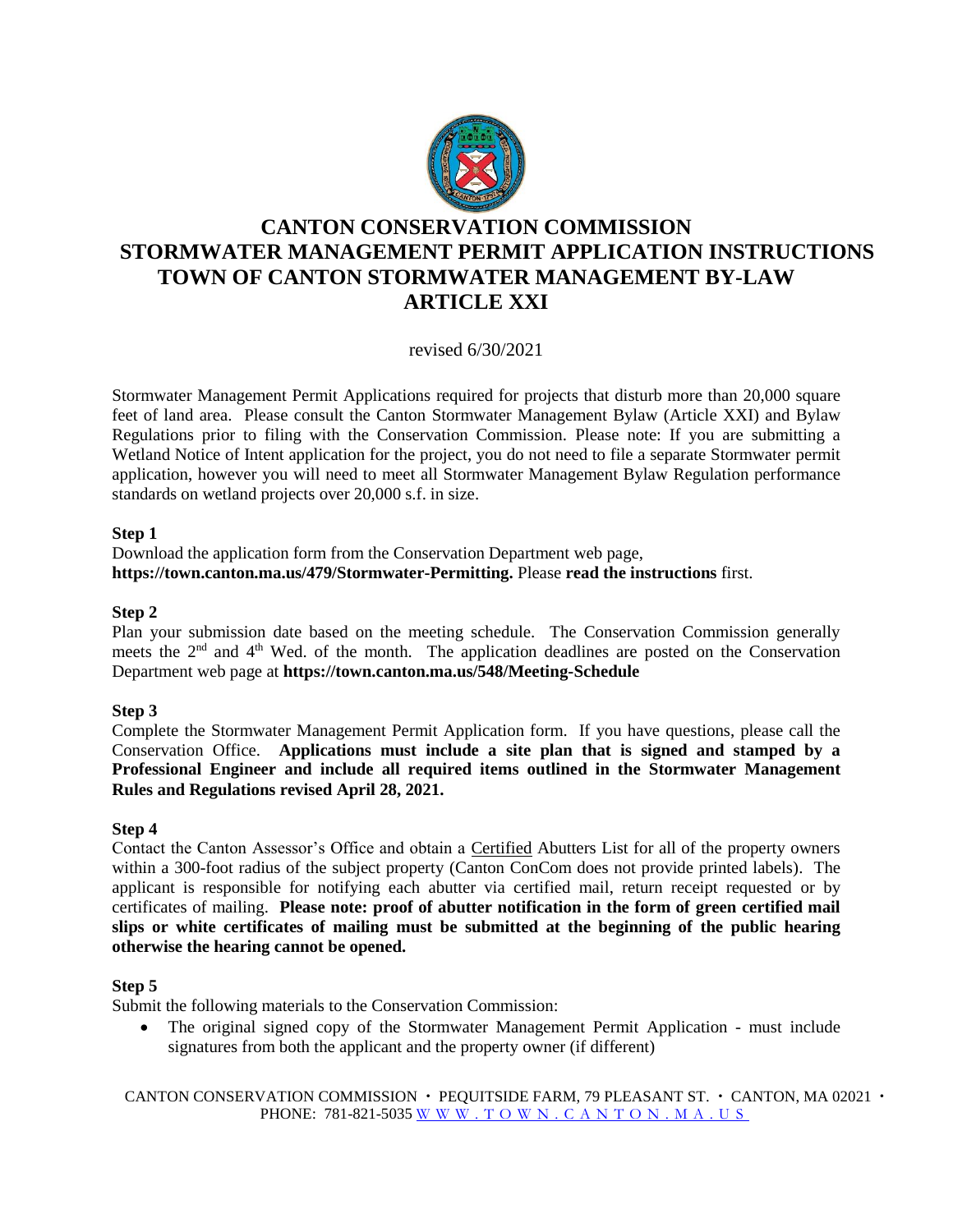

# **CANTON CONSERVATION COMMISSION STORMWATER MANAGEMENT PERMIT APPLICATION INSTRUCTIONS TOWN OF CANTON STORMWATER MANAGEMENT BY-LAW ARTICLE XXI**

revised 6/30/2021

Stormwater Management Permit Applications required for projects that disturb more than 20,000 square feet of land area. Please consult the Canton Stormwater Management Bylaw (Article XXI) and Bylaw Regulations prior to filing with the Conservation Commission. Please note: If you are submitting a Wetland Notice of Intent application for the project, you do not need to file a separate Stormwater permit application, however you will need to meet all Stormwater Management Bylaw Regulation performance standards on wetland projects over 20,000 s.f. in size.

## **Step 1**

Download the application form from the Conservation Department web page, **https://town.canton.ma.us/479/Stormwater-Permitting.** Please **read the instructions** first.

## **Step 2**

Plan your submission date based on the meeting schedule. The Conservation Commission generally meets the  $2<sup>nd</sup>$  and  $4<sup>th</sup>$  Wed. of the month. The application deadlines are posted on the Conservation Department web page at **https://town.canton.ma.us/548/Meeting-Schedule**

# **Step 3**

Complete the Stormwater Management Permit Application form. If you have questions, please call the Conservation Office. **Applications must include a site plan that is signed and stamped by a Professional Engineer and include all required items outlined in the Stormwater Management Rules and Regulations revised April 28, 2021.** 

#### **Step 4**

Contact the Canton Assessor's Office and obtain a Certified Abutters List for all of the property owners within a 300-foot radius of the subject property (Canton ConCom does not provide printed labels). The applicant is responsible for notifying each abutter via certified mail, return receipt requested or by certificates of mailing. **Please note: proof of abutter notification in the form of green certified mail slips or white certificates of mailing must be submitted at the beginning of the public hearing otherwise the hearing cannot be opened.**

#### **Step 5**

Submit the following materials to the Conservation Commission:

• The original signed copy of the Stormwater Management Permit Application - must include signatures from both the applicant and the property owner (if different)

CANTON CONSERVATION COMMISSION  $\cdot$  PEQUITSIDE FARM, 79 PLEASANT ST.  $\cdot$  CANTON, MA 02021  $\cdot$ PHONE: 781-821-5035 [W W W . T O W N . C A N T O N . M A . U](http://www.town.canton.ma.us/) S